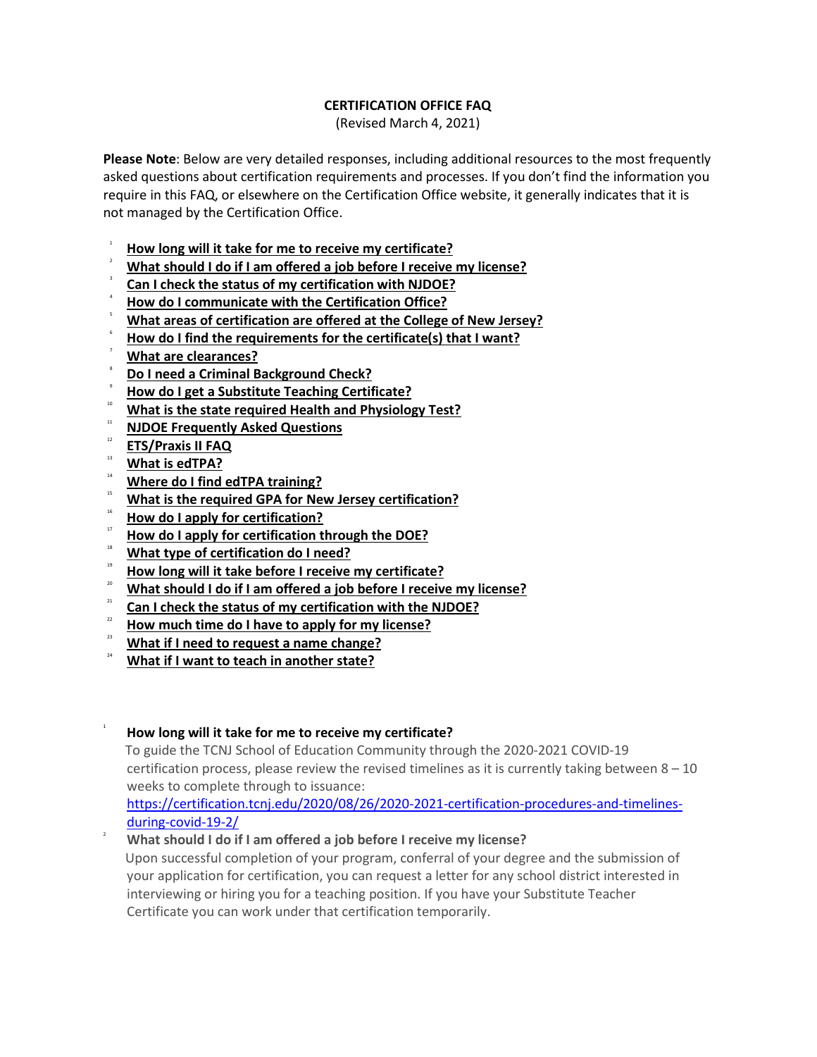## **CERTIFICATION OFFICE FAQ**

(Revised March 4, 2021)

**Please Note**: Below are very detailed responses, including additional resources to the most frequently asked questions about certification requirements and processes. If you don't find the information you require in this FAQ, or elsewhere on the Certification Office website, it generally indicates that it is not managed by the Certification Office.

- 1 **How long will it take for me to receive my certificate?**
- 2 **What should I do if I am offered a job before I receive my [license?](#page-0-0)**
- 3 **Can I check the status of my [certification](#page-1-0) with NJDOE?**
- 4 **How do I [communicate](#page-1-1) with the Certification Office?**
- 5 **What areas of [certification](#page-1-2) are offered at the College of New Jersey?**
- 6 **How do I find the [requirements](#page-1-3) for the certificate(s) that I want?**
- **What are [clearances?](#page-1-4)**
- 8 **Do I need a Criminal [Background](#page-1-5) Check?**
- 9 **How do I get a Substitute Teaching [Certificate?](#page-1-6)**
- <sup>10</sup> **What is the state required Health and [Physiology](#page-2-0) Test?**
- <sup>11</sup> **NJDOE [Frequently](#page-2-1) Asked Questions**
- <sup>12</sup> **[ETS/Praxis](#page-2-2) II FAQ**
- <sup>13</sup> **What is [edTPA?](#page-3-0)**

1

<span id="page-0-0"></span>2

- <sup>14</sup> **Where do I find edTPA [training?](#page-4-0)**
- <sup>15</sup> **What is the required GPA for New Jersey [certification?](#page-4-1)**
- <sup>16</sup> **How do I apply for [certification?](#page-4-2)**
- <sup>17</sup> **How do I apply for [certification](#page-4-3) through the DOE?**
- <sup>18</sup> **What type of [certification](#page-4-4) do I need?**
- <sup>19</sup> **How long will it take before I receive my [certificate?](#page-4-4)**
- <sup>20</sup> **What should I do if I am offered a job before I receive my [license?](#page-4-5)**
- <sup>21</sup> **Can I check the status of my [certification](#page-4-6) with the NJDOE?**
- <sup>22</sup> **How much time do I have to apply for my [license?](#page-4-7)**
- <sup>23</sup> **What if I need to request a name [change?](#page-5-0)**
- <sup>24</sup> **What if I want to teach in [another](#page-5-1) state?**
- **How long will it take for me to receive my certificate?**
	- To guide the TCNJ School of Education Community through the 2020-2021 COVID-19 certification process, please review the revised timelines as it is currently taking between  $8 - 10$ weeks to complete through to issuance:

[https://certification.tcnj.edu/2020/08/26/2020-2021-certification-procedures-and-timelines](https://certification.tcnj.edu/2020/08/26/2020-2021-certification-procedures-and-timelines-during-covid-19-2/)[during-covid-19-2/](https://certification.tcnj.edu/2020/08/26/2020-2021-certification-procedures-and-timelines-during-covid-19-2/)

**What should I do if I am offered a job before I receive my license?** Upon successful completion of your program, conferral of your degree and the submission of

your application for certification, you can request a letter for any school district interested in interviewing or hiring you for a teaching position. If you have your Substitute Teacher Certificate you can work under that certification temporarily.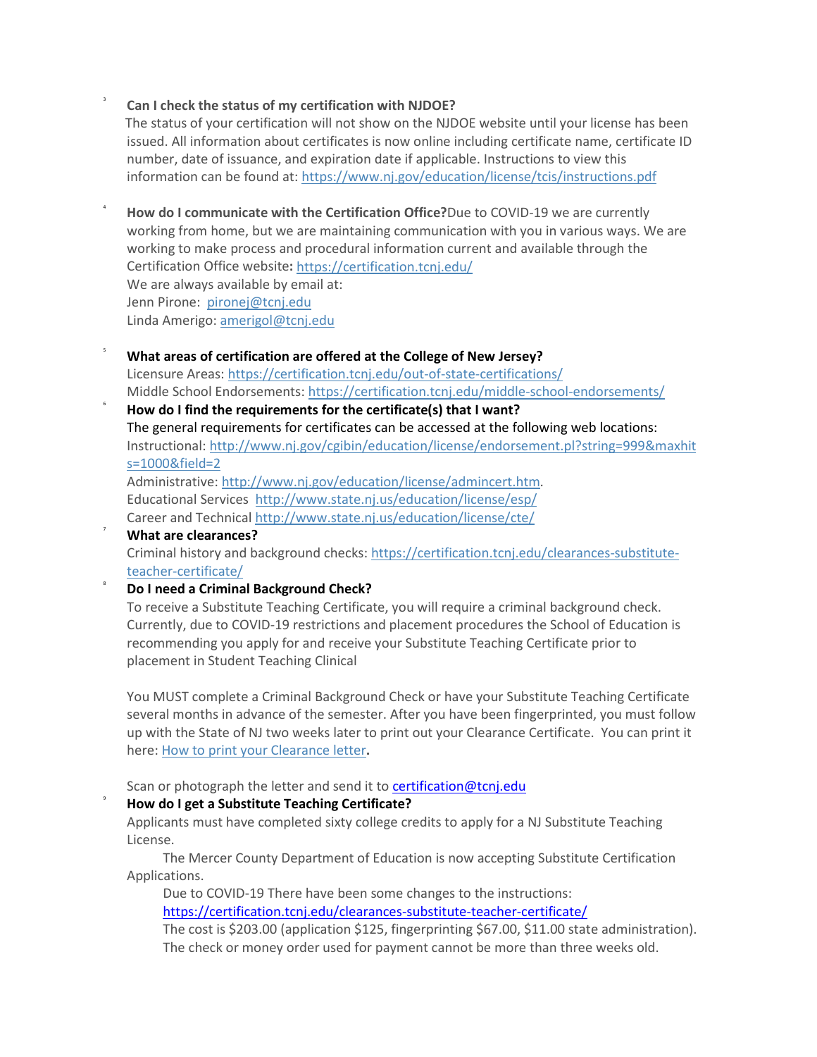## **Can I check the status of my certification with NJDOE?**

<span id="page-1-0"></span>3

<span id="page-1-1"></span>4

<span id="page-1-2"></span>5

<span id="page-1-4"></span>7

<span id="page-1-5"></span>8

<span id="page-1-6"></span>9

The status of your certification will not show on the NJDOE website until your license has been issued. All information about certificates is now online including certificate name, certificate ID number, date of issuance, and expiration date if applicable. Instructions to view this information can be found at: <https://www.nj.gov/education/license/tcis/instructions.pdf>

**How do I communicate with the Certification Office?**Due to COVID-19 we are currently working from home, but we are maintaining communication with you in various ways. We are working to make process and procedural information current and available through the Certification Office website**:** <https://certification.tcnj.edu/> We are always available by email at: Jenn Pirone: [pironej@tcnj.edu](mailto:pironej@tcnj.edu) Linda Amerigo: [amerigol@tcnj.edu](mailto:amerigol@tcnj.edu)

#### **What areas of certification are offered at the College of New Jersey?**

Licensure Areas: <https://certification.tcnj.edu/out-of-state-certifications/> Middle School Endorsements: <https://certification.tcnj.edu/middle-school-endorsements/>

<span id="page-1-3"></span>6 **How do I find the requirements for the certificate(s) that I want?** The general requirements for certificates can be accessed at the following web locations: Instructional: [http://www.nj.gov/cgibin/education/license/endorsement.pl?string=999&maxhit](http://www.nj.gov/cgibin/education/license/endorsement.pl?string=999&maxhits=1000&field=2) [s=1000&field=2](http://www.nj.gov/cgibin/education/license/endorsement.pl?string=999&maxhits=1000&field=2)

Administrative: [http://www.nj.gov/education/license/admincert.htm](https://www.state.nj.us/education/license/admincert.htm)*.* Educational Services [http://www.state.nj.us/education/license/esp/](https://www.state.nj.us/education/license/esp/) Career and Technical [http://www.state.nj.us/education/license/cte/](https://www.state.nj.us/education/license/cte/)

**What are clearances?** Criminal history and background checks: [https://certification.tcnj.edu/clearances-substitute](https://certification.tcnj.edu/clearances-substitute-teacher-certificate/)[teacher-certificate/](https://certification.tcnj.edu/clearances-substitute-teacher-certificate/)

#### **Do I need a Criminal Background Check?**

To receive a Substitute Teaching Certificate, you will require a criminal background check. Currently, due to COVID-19 restrictions and placement procedures the School of Education is recommending you apply for and receive your Substitute Teaching Certificate prior to placement in Student Teaching Clinical

You MUST complete a Criminal Background Check or have your Substitute Teaching Certificate several months in advance of the semester. After you have been fingerprinted, you must follow up with the State of NJ two weeks later to print out your Clearance Certificate. You can print it here: How to print your [Clearance](https://homeroom5.doe.state.nj.us/chrs18/?app-emp-history) letter**.**

Scan or photograph the letter and send it to [certification@tcnj.edu](mailto:certification@tcnj.edu)

## **How do I get a Substitute Teaching Certificate?**

Applicants must have completed sixty college credits to apply for a NJ Substitute Teaching License.

The Mercer County Department of Education is now accepting Substitute Certification Applications.

Due to COVID-19 There have been some changes to the instructions:

<https://certification.tcnj.edu/clearances-substitute-teacher-certificate/>

The cost is \$203.00 (application \$125, fingerprinting \$67.00, \$11.00 state administration). The check or money order used for payment cannot be more than three weeks old.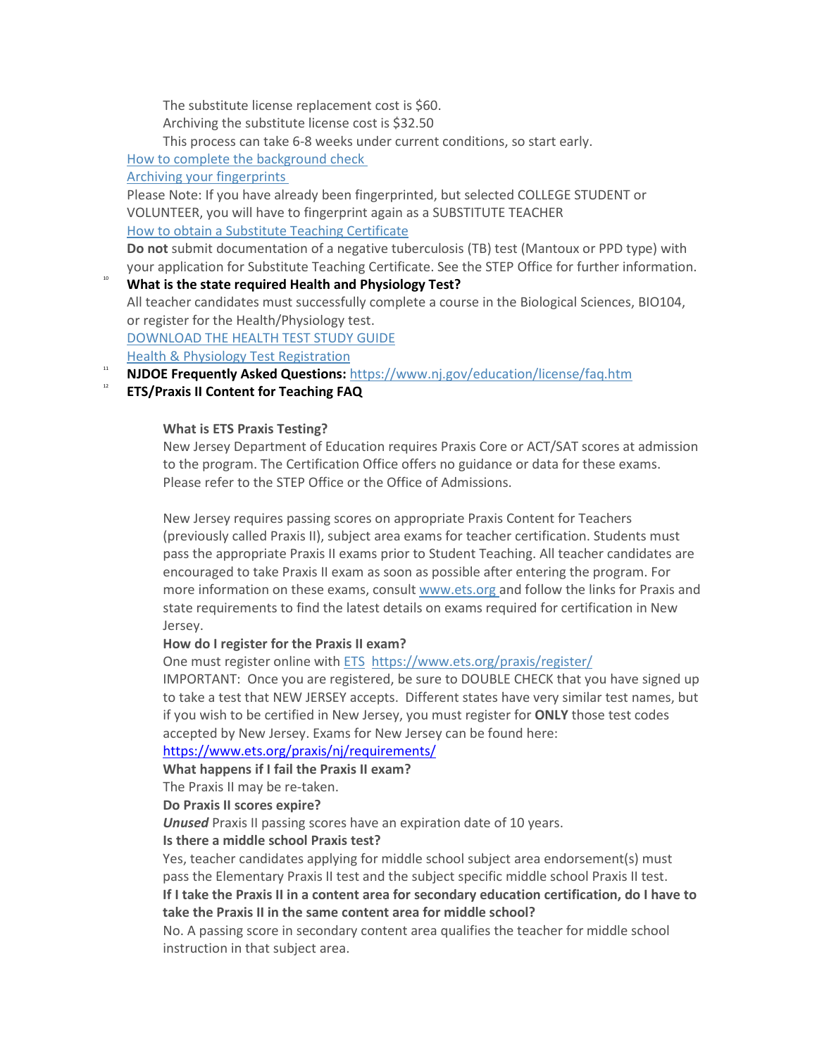The substitute license replacement cost is \$60.

Archiving the substitute license cost is \$32.50

This process can take 6-8 weeks under current conditions, so start early.

How to complete the [background](https://www.nj.gov/education/crimhist/check/) check

Archiving your [fingerprints](https://www.nj.gov/education/crimhist/check/)

Please Note: If you have already been fingerprinted, but selected COLLEGE STUDENT or VOLUNTEER, you will have to fingerprint again as a SUBSTITUTE TEACHER How to obtain a Substitute Teaching [Certificate](https://certification.tcnj.edu/clearances-substitute-teacher-certificate/)

**Do not** submit documentation of a negative tuberculosis (TB) test (Mantoux or PPD type) with your application for Substitute Teaching Certificate. See the STEP Office for further information.

<span id="page-2-0"></span><sup>10</sup> **What is the state required Health and Physiology Test?** All teacher candidates must successfully complete a course in the Biological Sciences, BIO104, or register for the Health/Physiology test. [DOWNLOAD](https://certification.tcnj.edu/wp-content/uploads/sites/149/2018/02/Health-Phys-PP.-Review-for-test.ppt) THE HEALTH TEST STUDY GUIDE

Health & Physiology Test [Registration](https://tcnj.co1.qualtrics.com/jfe/form/SV_6S5iYFqHLHggcW9)

<span id="page-2-1"></span><sup>11</sup> **NJDOE Frequently Asked Questions:** <https://www.nj.gov/education/license/faq.htm>

## <span id="page-2-2"></span><sup>12</sup> **ETS/Praxis II Content for Teaching FAQ**

## **What is ETS Praxis Testing?**

New Jersey Department of Education requires Praxis Core or ACT/SAT scores at admission to the program. The Certification Office offers no guidance or data for these exams. Please refer to the STEP Office or the Office of Admissions.

New Jersey requires passing scores on appropriate Praxis Content for Teachers (previously called Praxis II), subject area exams for teacher certification. Students must pass the appropriate Praxis II exams prior to Student Teaching. All teacher candidates are encouraged to take Praxis II exam as soon as possible after entering the program. For more information on these exams, consult [www.ets.org](http://www.ets.org/) and follow the links for Praxis and state requirements to find the latest details on exams required for certification in New Jersey.

## **How do I register for the Praxis II exam?**

One must register online with [ETS](http://www.ets.org/) <https://www.ets.org/praxis/register/>

IMPORTANT: Once you are registered, be sure to DOUBLE CHECK that you have signed up to take a test that NEW JERSEY accepts. Different states have very similar test names, but if you wish to be certified in New Jersey, you must register for **ONLY** those test codes accepted by New Jersey. Exams for New Jersey can be found here:

## <https://www.ets.org/praxis/nj/requirements/>

**What happens if I fail the Praxis II exam?**

The Praxis II may be re-taken.

**Do Praxis II scores expire?**

*Unused* Praxis II passing scores have an expiration date of 10 years.

## **Is there a middle school Praxis test?**

Yes, teacher candidates applying for middle school subject area endorsement(s) must pass the Elementary Praxis II test and the subject specific middle school Praxis II test. **If I take the Praxis II in a content area for secondary education certification, do I have to take the Praxis II in the same content area for middle school?**

No. A passing score in secondary content area qualifies the teacher for middle school instruction in that subject area.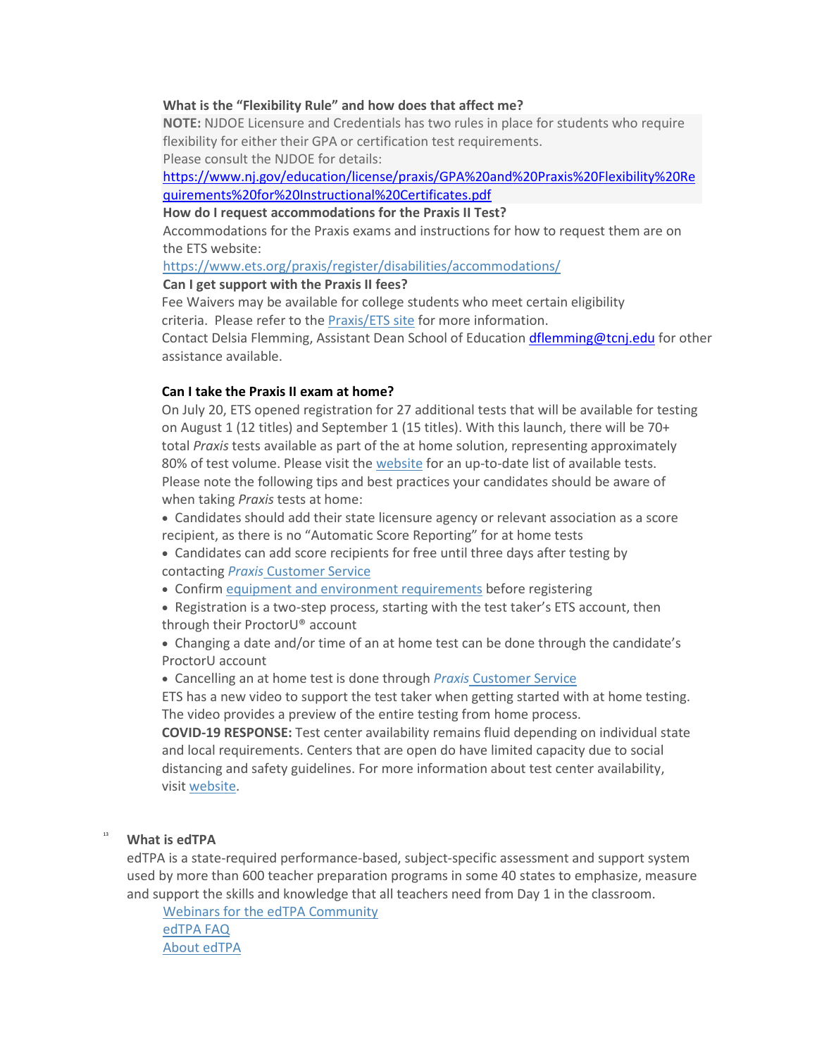#### **What is the "Flexibility Rule" and how does that affect me?**

**NOTE:** NJDOE Licensure and Credentials has two rules in place for students who require flexibility for either their GPA or certification test requirements. Please consult the NJDOE for details:

[https://www.nj.gov/education/license/praxis/GPA%20and%20Praxis%20Flexibility%20Re](https://www.nj.gov/education/license/praxis/GPA%20and%20Praxis%20Flexibility%20Requirements%20for%20Instructional%20Certificates.pdf) [quirements%20for%20Instructional%20Certificates.pdf](https://www.nj.gov/education/license/praxis/GPA%20and%20Praxis%20Flexibility%20Requirements%20for%20Instructional%20Certificates.pdf)

**How do I request accommodations for the Praxis II Test?**

Accommodations for the Praxis exams and instructions for how to request them are on the ETS website:

<https://www.ets.org/praxis/register/disabilities/accommodations/>

**Can I get support with the Praxis II fees?**

Fee Waivers may be available for college students who meet certain eligibility criteria. Please refer to the [Praxis/ETS](https://www.ets.org/praxis/about/fees/fee_waivers/) site for more information.

Contact Delsia Flemming, Assistant Dean School of Educatio[n dflemming@tcnj.edu](mailto:dflemming@tcnj.edu) for other assistance available.

#### **Can I take the Praxis II exam at home?**

On July 20, ETS opened registration for 27 additional tests that will be available for testing on August 1 (12 titles) and September 1 (15 titles). With this launch, there will be 70+ total *Praxis* tests available as part of the at home solution, representing approximately 80% of test volume. Please visit the [website](http://links.mkt1126.com/ctt?ms=NDMxMjQ0NzMS1&kn=17&r=MTA0OTcwOTk0NzE5NAS2&b=0&j=MTgyMDQxOTIxNAS2&mt=1&rt=0) for an up-to-date list of available tests. Please note the following tips and best practices your candidates should be aware of when taking *Praxis* tests at home:

• Candidates should add their state licensure agency or relevant association as a score recipient, as there is no "Automatic Score Reporting" for at home tests

- Candidates can add score recipients for free until three days after testing by contacting *Praxis* [Customer](http://links.mkt1126.com/ctt?ms=NDMxMjQ0NzMS1&kn=6&r=MTA0OTcwOTk0NzE5NAS2&b=0&j=MTgyMDQxOTIxNAS2&mt=1&rt=0) Service
- Confirm equipment and environment [requirements](http://links.mkt1126.com/ctt?ms=NDMxMjQ0NzMS1&kn=18&r=MTA0OTcwOTk0NzE5NAS2&b=0&j=MTgyMDQxOTIxNAS2&mt=1&rt=0) before registering

• Registration is a two-step process, starting with the test taker's ETS account, then through their ProctorU® account

• Changing a date and/or time of an at home test can be done through the candidate's ProctorU account

• Cancelling an at home test is done through *Praxis* [Customer](http://links.mkt1126.com/ctt?ms=NDMxMjQ0NzMS1&kn=3&r=MTA0OTcwOTk0NzE5NAS2&b=0&j=MTgyMDQxOTIxNAS2&mt=1&rt=0) Service

ETS has a new video to support the test taker when getting started with at home testing. The video provides a preview of the entire testing from home process.

**COVID-19 RESPONSE:** Test center availability remains fluid depending on individual state and local requirements. Centers that are open do have limited capacity due to social distancing and safety guidelines. For more information about test center availability, visit [website.](http://links.mkt1126.com/ctt?ms=NDMxMjQ0NzMS1&kn=10&r=MTA0OTcwOTk0NzE5NAS2&b=0&j=MTgyMDQxOTIxNAS2&mt=1&rt=0)

# <span id="page-3-0"></span><sup>13</sup> **What is edTPA**

edTPA is a state-required performance-based, subject-specific assessment and support system used by more than 600 teacher preparation programs in some 40 states to emphasize, measure and support the skills and knowledge that all teachers need from Day 1 in the classroom.

Webinars for the edTPA [Community](http://edtpa.aacte.org/) [edTPA](http://edtpa.aacte.org/faq) FAQ About [edTPA](http://edtpa.aacte.org/about-edtpa)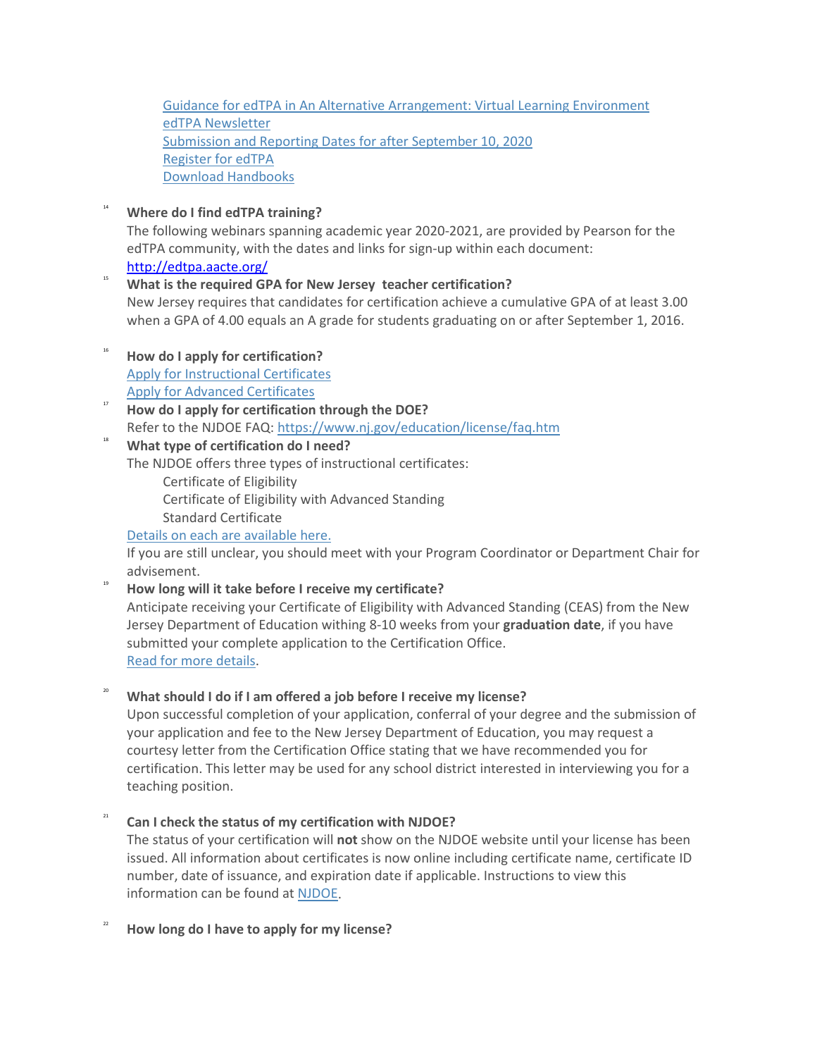Guidance for edTPA in An Alternative [Arrangement:](http://edtpa.aacte.org/) Virtual Learning Environment edTPA [Newsletter](http://edtpa.aacte.org/) [Submission](https://certification.tcnj.edu/edtpa-reporting-and-submission-dates-2020-2021/) and Reporting Dates for after September 10, 2020 [Register](http://edtpa.aacte.org/) for edTPA Download [Handbooks](http://edtpa.aacte.org/)

<span id="page-4-0"></span><sup>14</sup> **Where do I find edTPA training?** The following webinars spanning academic year 2020-2021, are provided by Pearson for the edTPA community, with the dates and links for sign-up within each document:

<http://edtpa.aacte.org/>

# <span id="page-4-1"></span><sup>15</sup> **What is the required GPA for New Jersey teacher certification?**

New Jersey requires that candidates for certification achieve a cumulative GPA of at least 3.00 when a GPA of 4.00 equals an A grade for students graduating on or after September 1, 2016.

- <span id="page-4-2"></span><sup>16</sup> **How do I apply for certification?** Apply for [Instructional](https://certification.tcnj.edu/instructional-certificates-only/) Certificates Apply for Advanced [Certificates](https://certification.tcnj.edu/advanced-certificates/)
- <span id="page-4-3"></span><sup>17</sup> **How do I apply for certification through the DOE?** Refer to the NJDOE FAQ: <https://www.nj.gov/education/license/faq.htm>

# <span id="page-4-4"></span><sup>18</sup> **What type of certification do I need?**

The NJDOE offers three types of instructional certificates:

- Certificate of Eligibility
- Certificate of Eligibility with Advanced Standing
- Standard Certificate

# Details on each are [available](https://www.state.nj.us/education/license/faq.htm#8) here.

If you are still unclear, you should meet with your Program Coordinator or Department Chair for advisement.

<sup>19</sup> **How long will it take before I receive my certificate?** Anticipate receiving your Certificate of Eligibility with Advanced Standing (CEAS) from the New Jersey Department of Education withing 8-10 weeks from your **graduation date**, if you have submitted your complete application to the Certification Office. Read for more [details.](https://certification.tcnj.edu/2020/08/26/2020-2021-certification-procedures-and-timelines-during-covid-19-2/)

# <span id="page-4-5"></span><sup>20</sup> **What should I do if I am offered a job before I receive my license?**

Upon successful completion of your application, conferral of your degree and the submission of your application and fee to the New Jersey Department of Education, you may request a courtesy letter from the Certification Office stating that we have recommended you for certification. This letter may be used for any school district interested in interviewing you for a teaching position.

# <span id="page-4-6"></span><sup>21</sup> **Can I check the status of my certification with NJDOE?**

The status of your certification will **not** show on the NJDOE website until your license has been issued. All information about certificates is now online including certificate name, certificate ID number, date of issuance, and expiration date if applicable. Instructions to view this information can be found at [NJDOE.](https://www.nj.gov/education/license/tcis/instructions.pdf)

<span id="page-4-7"></span><sup>22</sup> **How long do I have to apply for my license?**